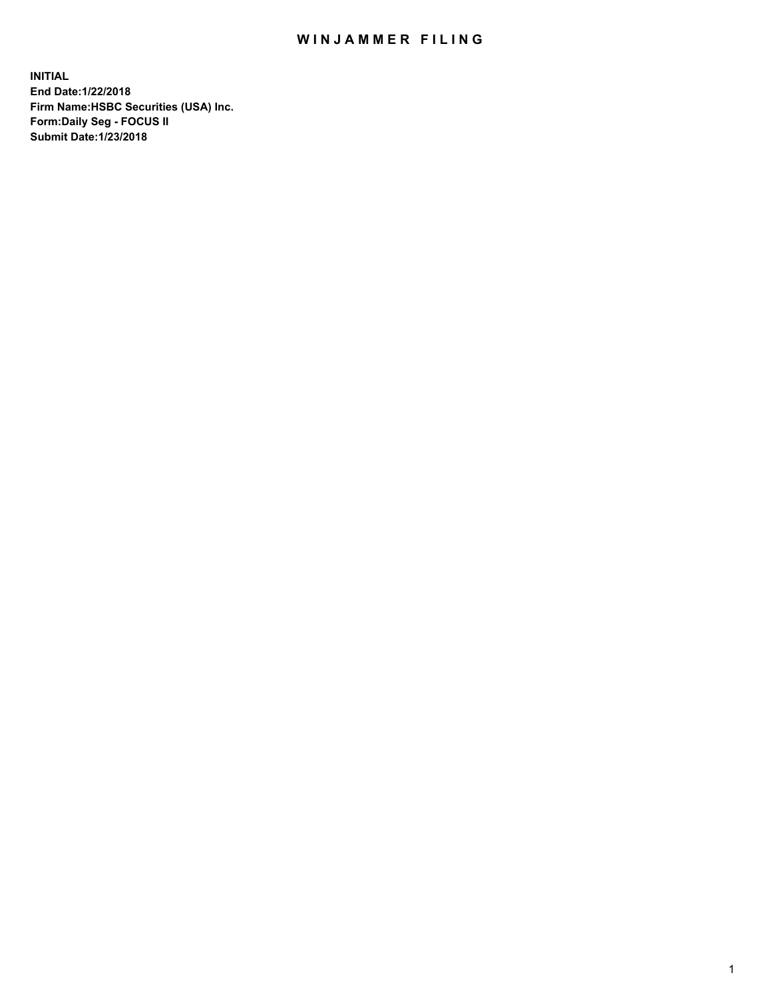## WIN JAMMER FILING

**INITIAL End Date:1/22/2018 Firm Name:HSBC Securities (USA) Inc. Form:Daily Seg - FOCUS II Submit Date:1/23/2018**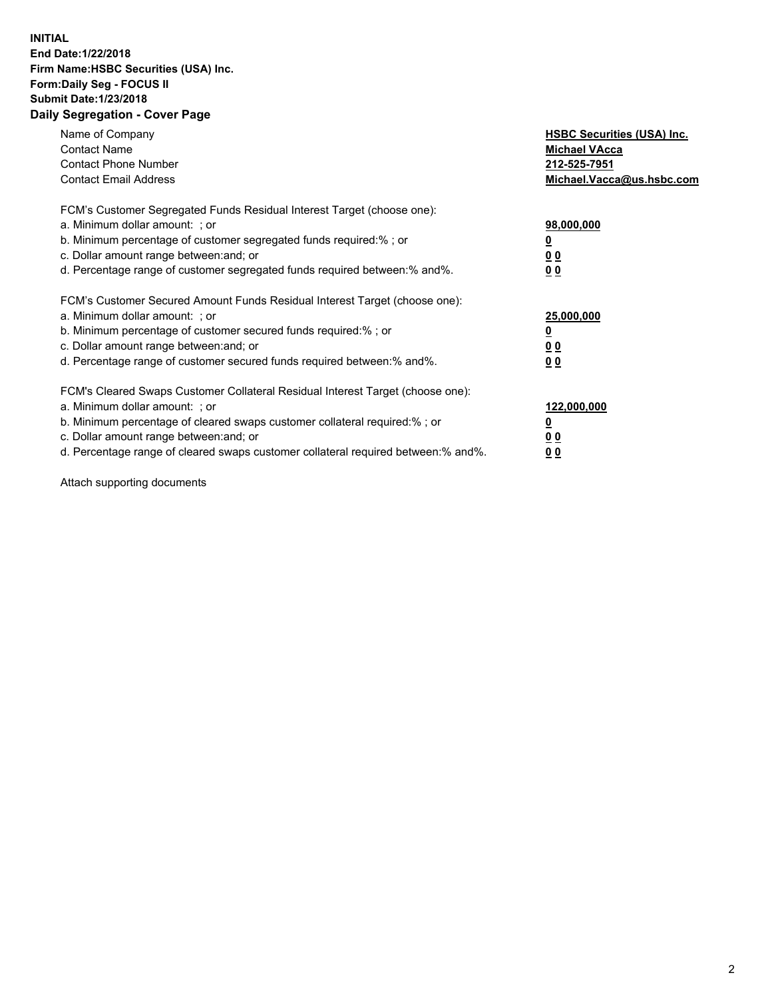## **INITIAL End Date:1/22/2018 Firm Name:HSBC Securities (USA) Inc. Form:Daily Seg - FOCUS II Submit Date:1/23/2018 Daily Segregation - Cover Page**

| Name of Company<br><b>Contact Name</b><br><b>Contact Phone Number</b><br><b>Contact Email Address</b>                                                                                                                                                                                                                          | <b>HSBC Securities (USA) Inc.</b><br><b>Michael VAcca</b><br>212-525-7951<br>Michael.Vacca@us.hsbc.com |
|--------------------------------------------------------------------------------------------------------------------------------------------------------------------------------------------------------------------------------------------------------------------------------------------------------------------------------|--------------------------------------------------------------------------------------------------------|
| FCM's Customer Segregated Funds Residual Interest Target (choose one):<br>a. Minimum dollar amount: ; or<br>b. Minimum percentage of customer segregated funds required:% ; or<br>c. Dollar amount range between: and; or<br>d. Percentage range of customer segregated funds required between:% and%.                         | 98,000,000<br><u>0</u><br><u>00</u><br>00                                                              |
| FCM's Customer Secured Amount Funds Residual Interest Target (choose one):<br>a. Minimum dollar amount: ; or<br>b. Minimum percentage of customer secured funds required:%; or<br>c. Dollar amount range between: and; or<br>d. Percentage range of customer secured funds required between: % and %.                          | 25,000,000<br><u>0</u><br><u>00</u><br>00                                                              |
| FCM's Cleared Swaps Customer Collateral Residual Interest Target (choose one):<br>a. Minimum dollar amount: ; or<br>b. Minimum percentage of cleared swaps customer collateral required:% ; or<br>c. Dollar amount range between: and; or<br>d. Percentage range of cleared swaps customer collateral required between:% and%. | 122,000,000<br><u>0</u><br>0 <sub>0</sub><br>00                                                        |

Attach supporting documents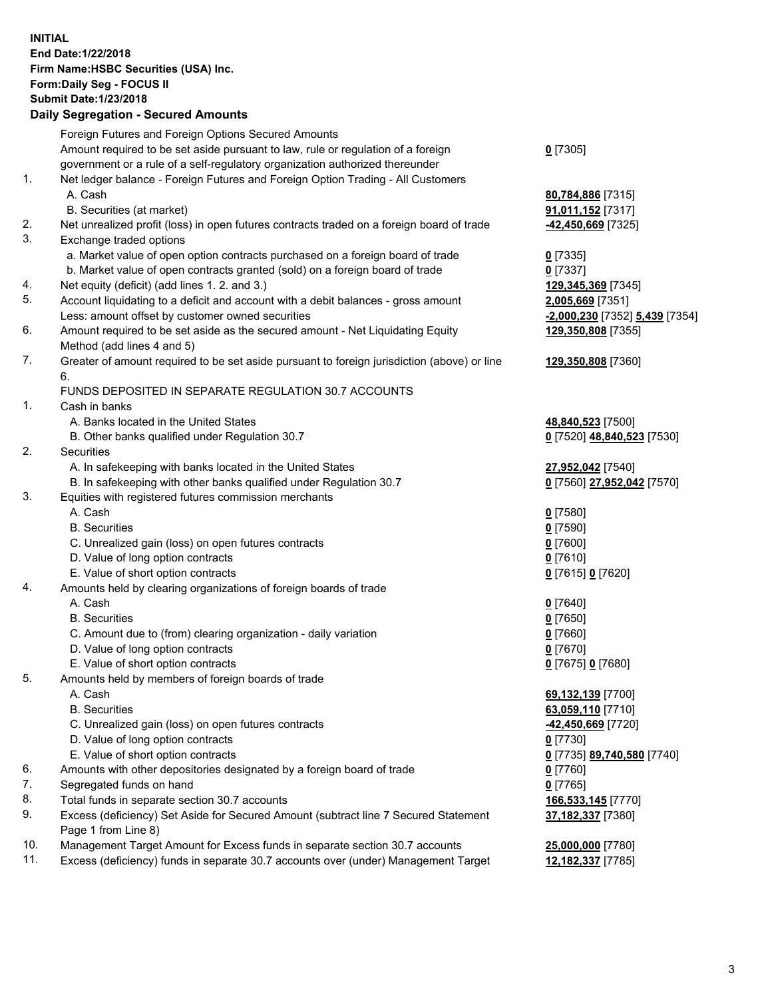**INITIAL End Date:1/22/2018 Firm Name:HSBC Securities (USA) Inc. Form:Daily Seg - FOCUS II Submit Date:1/23/2018 Daily Segregation - Secured Amounts** Foreign Futures and Foreign Options Secured Amounts Amount required to be set aside pursuant to law, rule or regulation of a foreign government or a rule of a self-regulatory organization authorized thereunder **0** [7305] 1. Net ledger balance - Foreign Futures and Foreign Option Trading - All Customers A. Cash **80,784,886** [7315] B. Securities (at market) **91,011,152** [7317] 2. Net unrealized profit (loss) in open futures contracts traded on a foreign board of trade **-42,450,669** [7325] 3. Exchange traded options a. Market value of open option contracts purchased on a foreign board of trade **0** [7335] b. Market value of open contracts granted (sold) on a foreign board of trade **0** [7337] 4. Net equity (deficit) (add lines 1. 2. and 3.) **129,345,369** [7345] 5. Account liquidating to a deficit and account with a debit balances - gross amount **2,005,669** [7351] Less: amount offset by customer owned securities **-2,000,230** [7352] **5,439** [7354] 6. Amount required to be set aside as the secured amount - Net Liquidating Equity Method (add lines 4 and 5) **129,350,808** [7355] 7. Greater of amount required to be set aside pursuant to foreign jurisdiction (above) or line 6. **129,350,808** [7360] FUNDS DEPOSITED IN SEPARATE REGULATION 30.7 ACCOUNTS 1. Cash in banks A. Banks located in the United States **48,840,523** [7500] B. Other banks qualified under Regulation 30.7 **0** [7520] **48,840,523** [7530] 2. Securities A. In safekeeping with banks located in the United States **27,952,042** [7540] B. In safekeeping with other banks qualified under Regulation 30.7 **0** [7560] **27,952,042** [7570] 3. Equities with registered futures commission merchants A. Cash **0** [7580] B. Securities **0** [7590] C. Unrealized gain (loss) on open futures contracts **0** [7600] D. Value of long option contracts **0** [7610] E. Value of short option contracts **0** [7615] **0** [7620] 4. Amounts held by clearing organizations of foreign boards of trade A. Cash **0** [7640] B. Securities **0** [7650] C. Amount due to (from) clearing organization - daily variation **0** [7660] D. Value of long option contracts **0** [7670] E. Value of short option contracts **0** [7675] **0** [7680]

5. Amounts held by members of foreign boards of trade

- A. Cash **69,132,139** [7700]
- B. Securities **63,059,110** [7710]
- C. Unrealized gain (loss) on open futures contracts **-42,450,669** [7720]
- D. Value of long option contracts **0** [7730]
- E. Value of short option contracts **0** [7735] **89,740,580** [7740]
- 6. Amounts with other depositories designated by a foreign board of trade **0** [7760]
- 7. Segregated funds on hand **0** [7765]
- 8. Total funds in separate section 30.7 accounts **166,533,145** [7770]
- 9. Excess (deficiency) Set Aside for Secured Amount (subtract line 7 Secured Statement Page 1 from Line 8)
- 10. Management Target Amount for Excess funds in separate section 30.7 accounts **25,000,000** [7780]
- 11. Excess (deficiency) funds in separate 30.7 accounts over (under) Management Target **12,182,337** [7785]

**37,182,337** [7380]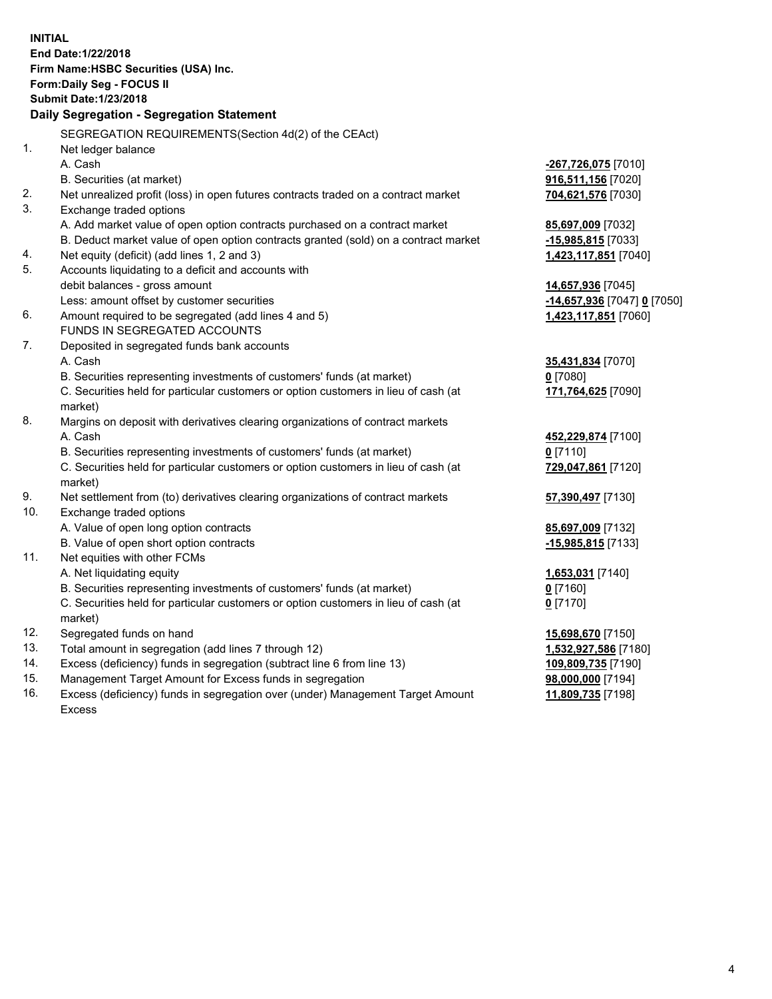**INITIAL End Date:1/22/2018 Firm Name:HSBC Securities (USA) Inc. Form:Daily Seg - FOCUS II Submit Date:1/23/2018 Daily Segregation - Segregation Statement** SEGREGATION REQUIREMENTS(Section 4d(2) of the CEAct) 1. Net ledger balance A. Cash **-267,726,075** [7010] B. Securities (at market) **916,511,156** [7020] 2. Net unrealized profit (loss) in open futures contracts traded on a contract market **704,621,576** [7030] 3. Exchange traded options A. Add market value of open option contracts purchased on a contract market **85,697,009** [7032] B. Deduct market value of open option contracts granted (sold) on a contract market **-15,985,815** [7033] 4. Net equity (deficit) (add lines 1, 2 and 3) **1,423,117,851** [7040] 5. Accounts liquidating to a deficit and accounts with debit balances - gross amount **14,657,936** [7045] Less: amount offset by customer securities **-14,657,936** [7047] **0** [7050] 6. Amount required to be segregated (add lines 4 and 5) **1,423,117,851** [7060] FUNDS IN SEGREGATED ACCOUNTS 7. Deposited in segregated funds bank accounts A. Cash **35,431,834** [7070] B. Securities representing investments of customers' funds (at market) **0** [7080] C. Securities held for particular customers or option customers in lieu of cash (at market) **171,764,625** [7090] 8. Margins on deposit with derivatives clearing organizations of contract markets A. Cash **452,229,874** [7100] B. Securities representing investments of customers' funds (at market) **0** [7110] C. Securities held for particular customers or option customers in lieu of cash (at market) **729,047,861** [7120] 9. Net settlement from (to) derivatives clearing organizations of contract markets **57,390,497** [7130] 10. Exchange traded options A. Value of open long option contracts **85,697,009** [7132] B. Value of open short option contracts **-15,985,815** [7133] 11. Net equities with other FCMs A. Net liquidating equity **1,653,031** [7140] B. Securities representing investments of customers' funds (at market) **0** [7160] C. Securities held for particular customers or option customers in lieu of cash (at market) **0** [7170] 12. Segregated funds on hand **15,698,670** [7150] 13. Total amount in segregation (add lines 7 through 12) **1,532,927,586** [7180] 14. Excess (deficiency) funds in segregation (subtract line 6 from line 13) **109,809,735** [7190] 15. Management Target Amount for Excess funds in segregation **98,000,000** [7194]

16. Excess (deficiency) funds in segregation over (under) Management Target Amount Excess

**11,809,735** [7198]